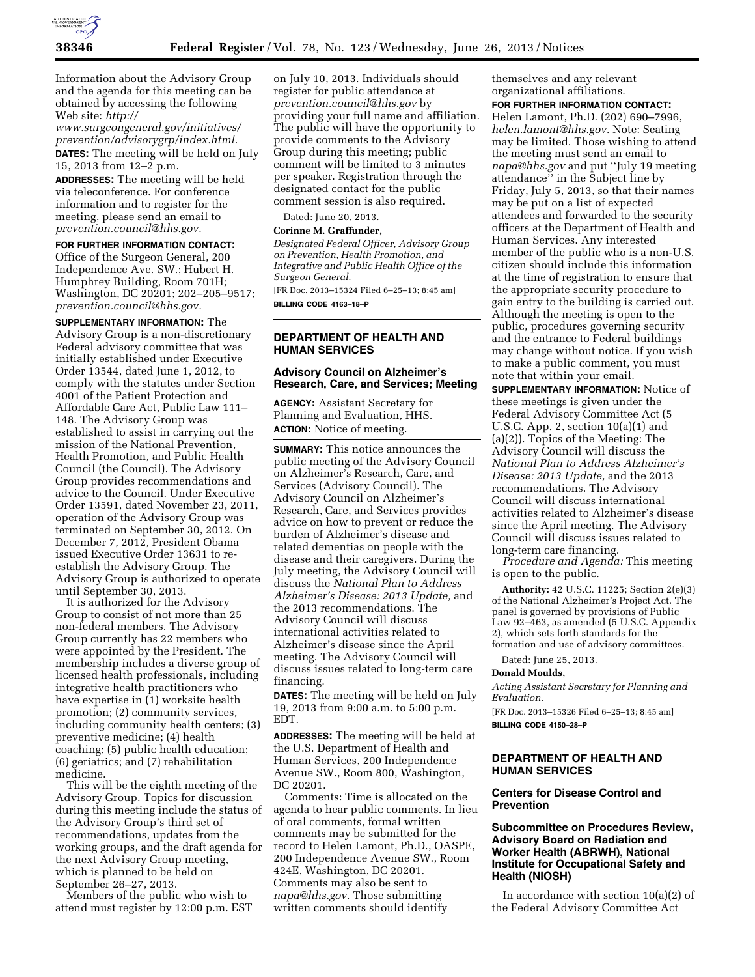

Information about the Advisory Group and the agenda for this meeting can be obtained by accessing the following Web site: *[http://](http://www.surgeongeneral.gov/initiatives/prevention/advisorygrp/index.html)* 

*[www.surgeongeneral.gov/initiatives/](http://www.surgeongeneral.gov/initiatives/prevention/advisorygrp/index.html)  [prevention/advisorygrp/index.html.](http://www.surgeongeneral.gov/initiatives/prevention/advisorygrp/index.html)*  **DATES:** The meeting will be held on July 15, 2013 from 12–2 p.m.

**ADDRESSES:** The meeting will be held via teleconference. For conference information and to register for the meeting, please send an email to *[prevention.council@hhs.gov.](mailto:prevention.council@hhs.gov)* 

**FOR FURTHER INFORMATION CONTACT:** 

Office of the Surgeon General, 200 Independence Ave. SW.; Hubert H. Humphrey Building, Room 701H; Washington, DC 20201; 202–205–9517; *[prevention.council@hhs.gov.](mailto:prevention.council@hhs.gov)* 

**SUPPLEMENTARY INFORMATION:** The Advisory Group is a non-discretionary Federal advisory committee that was initially established under Executive Order 13544, dated June 1, 2012, to comply with the statutes under Section 4001 of the Patient Protection and Affordable Care Act, Public Law 111– 148. The Advisory Group was established to assist in carrying out the mission of the National Prevention, Health Promotion, and Public Health Council (the Council). The Advisory Group provides recommendations and advice to the Council. Under Executive Order 13591, dated November 23, 2011, operation of the Advisory Group was terminated on September 30, 2012. On December 7, 2012, President Obama issued Executive Order 13631 to reestablish the Advisory Group. The Advisory Group is authorized to operate until September 30, 2013.

It is authorized for the Advisory Group to consist of not more than 25 non-federal members. The Advisory Group currently has 22 members who were appointed by the President. The membership includes a diverse group of licensed health professionals, including integrative health practitioners who have expertise in (1) worksite health promotion; (2) community services, including community health centers; (3) preventive medicine; (4) health coaching; (5) public health education; (6) geriatrics; and (7) rehabilitation medicine.

This will be the eighth meeting of the Advisory Group. Topics for discussion during this meeting include the status of the Advisory Group's third set of recommendations, updates from the working groups, and the draft agenda for the next Advisory Group meeting, which is planned to be held on September 26–27, 2013.

Members of the public who wish to attend must register by 12:00 p.m. EST on July 10, 2013. Individuals should register for public attendance at *[prevention.council@hhs.gov](mailto:prevention.council@hhs.gov)* by providing your full name and affiliation. The public will have the opportunity to provide comments to the Advisory Group during this meeting; public comment will be limited to 3 minutes per speaker. Registration through the designated contact for the public comment session is also required.

Dated: June 20, 2013.

#### **Corinne M. Graffunder,**

*Designated Federal Officer, Advisory Group on Prevention, Health Promotion, and Integrative and Public Health Office of the Surgeon General.* 

[FR Doc. 2013–15324 Filed 6–25–13; 8:45 am] **BILLING CODE 4163–18–P** 

## **DEPARTMENT OF HEALTH AND HUMAN SERVICES**

### **Advisory Council on Alzheimer's Research, Care, and Services; Meeting**

**AGENCY:** Assistant Secretary for Planning and Evaluation, HHS. **ACTION:** Notice of meeting.

**SUMMARY:** This notice announces the public meeting of the Advisory Council on Alzheimer's Research, Care, and Services (Advisory Council). The Advisory Council on Alzheimer's Research, Care, and Services provides advice on how to prevent or reduce the burden of Alzheimer's disease and related dementias on people with the disease and their caregivers. During the July meeting, the Advisory Council will discuss the *National Plan to Address Alzheimer's Disease: 2013 Update,* and the 2013 recommendations. The Advisory Council will discuss international activities related to Alzheimer's disease since the April meeting. The Advisory Council will discuss issues related to long-term care financing.

**DATES:** The meeting will be held on July 19, 2013 from 9:00 a.m. to 5:00 p.m. EDT.

**ADDRESSES:** The meeting will be held at the U.S. Department of Health and Human Services, 200 Independence Avenue SW., Room 800, Washington, DC 20201.

Comments: Time is allocated on the agenda to hear public comments. In lieu of oral comments, formal written comments may be submitted for the record to Helen Lamont, Ph.D., OASPE, 200 Independence Avenue SW., Room 424E, Washington, DC 20201. Comments may also be sent to *[napa@hhs.gov.](mailto:napa@hhs.gov)* Those submitting written comments should identify

themselves and any relevant organizational affiliations.

**FOR FURTHER INFORMATION CONTACT:** 

Helen Lamont, Ph.D. (202) 690–7996, *[helen.lamont@hhs.gov.](mailto:helen.lamont@hhs.gov)* Note: Seating may be limited. Those wishing to attend the meeting must send an email to *[napa@hhs.gov](mailto:napa@hhs.gov)* and put ''July 19 meeting attendance'' in the Subject line by Friday, July 5, 2013, so that their names may be put on a list of expected attendees and forwarded to the security officers at the Department of Health and Human Services. Any interested member of the public who is a non-U.S. citizen should include this information at the time of registration to ensure that the appropriate security procedure to gain entry to the building is carried out. Although the meeting is open to the public, procedures governing security and the entrance to Federal buildings may change without notice. If you wish to make a public comment, you must note that within your email.

**SUPPLEMENTARY INFORMATION:** Notice of these meetings is given under the Federal Advisory Committee Act (5 U.S.C. App. 2, section 10(a)(1) and (a)(2)). Topics of the Meeting: The Advisory Council will discuss the *National Plan to Address Alzheimer's Disease: 2013 Update,* and the 2013 recommendations. The Advisory Council will discuss international activities related to Alzheimer's disease since the April meeting. The Advisory Council will discuss issues related to long-term care financing.

*Procedure and Agenda:* This meeting is open to the public.

**Authority:** 42 U.S.C. 11225; Section 2(e)(3) of the National Alzheimer's Project Act. The panel is governed by provisions of Public Law 92–463, as amended (5 U.S.C. Appendix 2), which sets forth standards for the formation and use of advisory committees.

Dated: June 25, 2013.

#### **Donald Moulds,**

*Acting Assistant Secretary for Planning and Evaluation.* 

[FR Doc. 2013–15326 Filed 6–25–13; 8:45 am] **BILLING CODE 4150–28–P** 

# **DEPARTMENT OF HEALTH AND HUMAN SERVICES**

### **Centers for Disease Control and Prevention**

## **Subcommittee on Procedures Review, Advisory Board on Radiation and Worker Health (ABRWH), National Institute for Occupational Safety and Health (NIOSH)**

In accordance with section 10(a)(2) of the Federal Advisory Committee Act